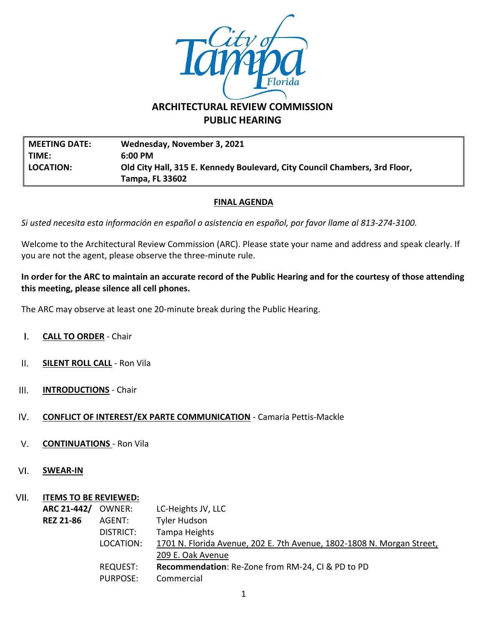

# **ARCHITECTURAL REVIEW COMMISSION PUBLIC HEARING**

**MEETING DATE: Wednesday, November 3, 2021 TIME: 6:00 PM LOCATION: Old City Hall, 315 E. Kennedy Boulevard, City Council Chambers, 3rd Floor, Tampa, FL 33602**

## **FINAL AGENDA**

*Si usted necesita esta información en español o asistencia en español, por favor llame al 813-274-3100.*

Welcome to the Architectural Review Commission (ARC). Please state your name and address and speak clearly. If you are not the agent, please observe the three-minute rule.

### **In order for the ARC to maintain an accurate record of the Public Hearing and for the courtesy of those attending this meeting, please silence all cell phones.**

The ARC may observe at least one 20-minute break during the Public Hearing.

- $\mathbf{L}$ **CALL TO ORDER** - Chair
- $II.$ **SILENT ROLL CALL** - Ron Vila
- $III.$ **INTRODUCTIONS** - Chair
- **CONFLICT OF INTEREST/EX PARTE COMMUNICATION** Camaria Pettis-Mackle IV.
- $V_{\star}$ **CONTINUATIONS** - Ron Vila
- VI. **SWEAR-IN**

### VII. **ITEMS TO BE REVIEWED:**

| ARC 21-442/      | OWNER:          | LC-Heights JV, LLC                                                     |
|------------------|-----------------|------------------------------------------------------------------------|
| <b>REZ 21-86</b> | AGENT:          | Tyler Hudson                                                           |
|                  | DISTRICT:       | Tampa Heights                                                          |
|                  | LOCATION:       | 1701 N. Florida Avenue, 202 E. 7th Avenue, 1802-1808 N. Morgan Street, |
|                  |                 | 209 E. Oak Avenue                                                      |
|                  | REQUEST:        | Recommendation: Re-Zone from RM-24, CI & PD to PD                      |
|                  | <b>PURPOSE:</b> | Commercial                                                             |